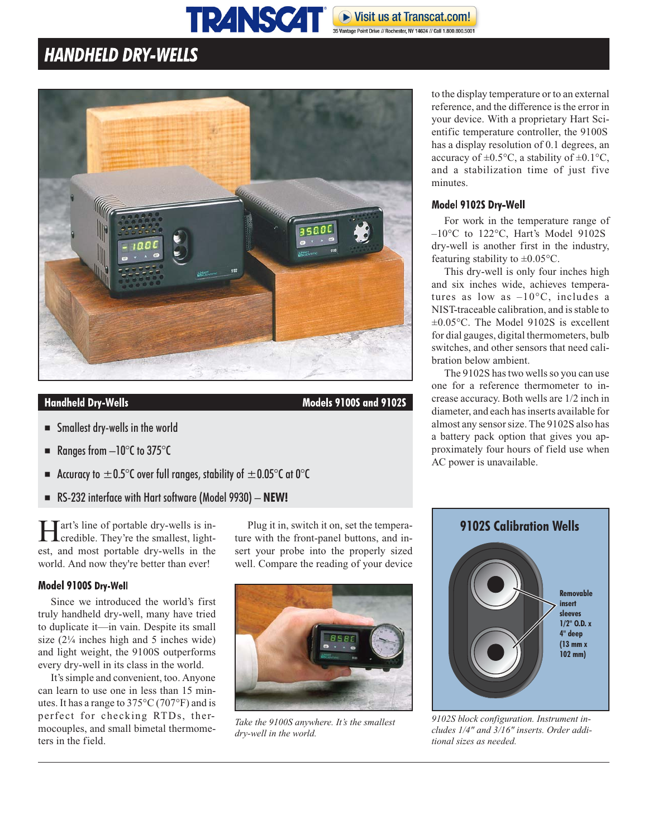#### **TRANSCAT®** Visit us at Transcat.com! 35 Vantage Point Drive // Rochester, NY 14624 // Call 1.800.800.500

## **HANDHELD DRY-WELLS**



### **Handheld Dry-Wells**

**Models 9100S and 9102S** 

- Smallest dry-wells in the world
- Ranges from  $-10^{\circ}$ C to 375 $^{\circ}$ C
- Accuracy to  $\pm 0.5^{\circ}$ C over full ranges, stability of  $\pm 0.05^{\circ}$ C at 0<sup>o</sup>C
- RS-232 interface with Hart software (Model 9930) **NEW!**

Hart's line of portable dry-wells is in-credible. They're the smallest, lightest, and most portable dry-wells in the world. And now they're better than ever!

#### Model 9100S Dry-Well

Since we introduced the world's first truly handheld dry-well, many have tried to duplicate it—in vain. Despite its small size  $(2\frac{1}{4}$  inches high and 5 inches wide) and light weight, the 9100S outperforms every dry-well in its class in the world.

It's simple and convenient, too. Anyone can learn to use one in less than 15 minutes. It has a range to 375°C (707°F) and is perfect for checking RTDs, thermocouples, and small bimetal thermometers in the field.

Plug it in, switch it on, set the temperature with the front-panel buttons, and insert your probe into the properly sized well. Compare the reading of your device



*Take the 9100S anywhere. It's the smallest dry-well in the world.*

to the display temperature or to an external reference, and the difference is the error in your device. With a proprietary Hart Scientific temperature controller, the 9100S has a display resolution of 0.1 degrees, an accuracy of  $\pm 0.5$ °C, a stability of  $\pm 0.1$ °C, and a stabilization time of just five minutes.

#### Model 9102S Dry-Well

For work in the temperature range of –10°C to 122°C, Hart's Model 9102S dry-well is another first in the industry, featuring stability to  $\pm 0.05$ °C.

This dry-well is only four inches high and six inches wide, achieves temperatures as low as  $-10^{\circ}$ C, includes a NIST-traceable calibration, and is stable to  $\pm 0.05$ °C. The Model 9102S is excellent for dial gauges, digital thermometers, bulb switches, and other sensors that need calibration below ambient.

The 9102S has two wells so you can use one for a reference thermometer to increase accuracy. Both wells are 1/2 inch in diameter, and each has inserts available for almost any sensor size. The 9102S also has a battery pack option that gives you approximately four hours of field use when AC power is unavailable.



*9102S block configuration. Instrument includes 1/4" and 3/16" inserts. Order additional sizes as needed.*